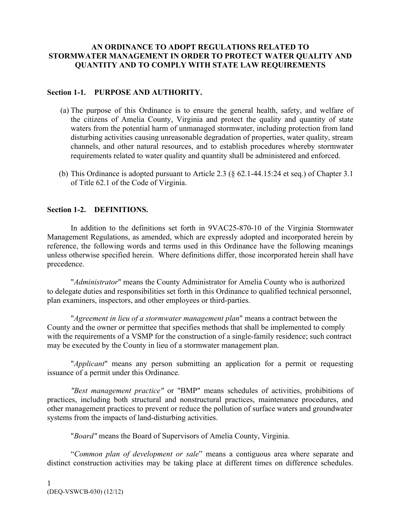#### **AN ORDINANCE TO ADOPT REGULATIONS RELATED TO STORMWATER MANAGEMENT IN ORDER TO PROTECT WATER QUALITY AND QUANTITY AND TO COMPLY WITH STATE LAW REQUIREMENTS**

#### **Section 1-1. PURPOSE AND AUTHORITY.**

- (a) The purpose of this Ordinance is to ensure the general health, safety, and welfare of the citizens of Amelia County, Virginia and protect the quality and quantity of state waters from the potential harm of unmanaged stormwater, including protection from land disturbing activities causing unreasonable degradation of properties, water quality, stream channels, and other natural resources, and to establish procedures whereby stormwater requirements related to water quality and quantity shall be administered and enforced.
- (b) This Ordinance is adopted pursuant to Article 2.3 (§ 62.1-44.15:24 et seq.) of Chapter 3.1 of Title 62.1 of the Code of Virginia.

#### **Section 1-2. DEFINITIONS.**

In addition to the definitions set forth in 9VAC25-870-10 of the Virginia Stormwater Management Regulations, as amended, which are expressly adopted and incorporated herein by reference, the following words and terms used in this Ordinance have the following meanings unless otherwise specified herein. Where definitions differ, those incorporated herein shall have precedence.

"*Administrator*" means the County Administrator for Amelia County who is authorized to delegate duties and responsibilities set forth in this Ordinance to qualified technical personnel, plan examiners, inspectors, and other employees or third-parties.

"*Agreement in lieu of a stormwater management plan*" means a contract between the County and the owner or permittee that specifies methods that shall be implemented to comply with the requirements of a VSMP for the construction of a single-family residence; such contract may be executed by the County in lieu of a stormwater management plan.

"*Applicant*" means any person submitting an application for a permit or requesting issuance of a permit under this Ordinance.

*"Best management practice"* or "BMP" means schedules of activities, prohibitions of practices, including both structural and nonstructural practices, maintenance procedures, and other management practices to prevent or reduce the pollution of surface waters and groundwater systems from the impacts of land-disturbing activities.

"*Board"* means the Board of Supervisors of Amelia County, Virginia.

"*Common plan of development or sale*" means a contiguous area where separate and distinct construction activities may be taking place at different times on difference schedules.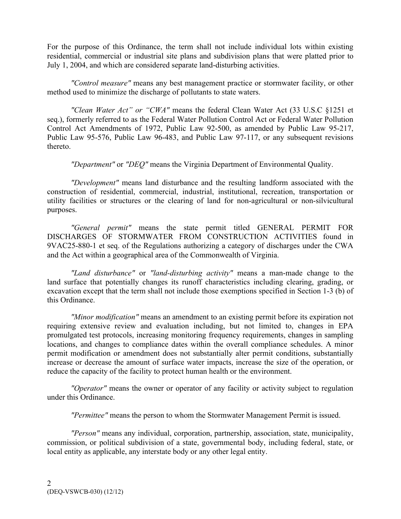For the purpose of this Ordinance, the term shall not include individual lots within existing residential, commercial or industrial site plans and subdivision plans that were platted prior to July 1, 2004, and which are considered separate land-disturbing activities.

*"Control measure"* means any best management practice or stormwater facility, or other method used to minimize the discharge of pollutants to state waters.

*"Clean Water Act" or "CWA"* means the federal Clean Water Act (33 U.S.C §1251 et seq.), formerly referred to as the Federal Water Pollution Control Act or Federal Water Pollution Control Act Amendments of 1972, Public Law 92-500, as amended by Public Law 95-217, Public Law 95-576, Public Law 96-483, and Public Law 97-117, or any subsequent revisions thereto.

*"Department"* or *"DEQ"* means the Virginia Department of Environmental Quality.

*"Development"* means land disturbance and the resulting landform associated with the construction of residential, commercial, industrial, institutional, recreation, transportation or utility facilities or structures or the clearing of land for non-agricultural or non-silvicultural purposes.

*"General permit"* means the state permit titled GENERAL PERMIT FOR DISCHARGES OF STORMWATER FROM CONSTRUCTION ACTIVITIES found in 9VAC25-880-1 et seq. of the Regulations authorizing a category of discharges under the CWA and the Act within a geographical area of the Commonwealth of Virginia.

*"Land disturbance"* or *"land-disturbing activity"* means a man-made change to the land surface that potentially changes its runoff characteristics including clearing, grading, or excavation except that the term shall not include those exemptions specified in Section 1-3 (b) of this Ordinance.

*"Minor modification"* means an amendment to an existing permit before its expiration not requiring extensive review and evaluation including, but not limited to, changes in EPA promulgated test protocols, increasing monitoring frequency requirements, changes in sampling locations, and changes to compliance dates within the overall compliance schedules. A minor permit modification or amendment does not substantially alter permit conditions, substantially increase or decrease the amount of surface water impacts, increase the size of the operation, or reduce the capacity of the facility to protect human health or the environment.

*"Operator"* means the owner or operator of any facility or activity subject to regulation under this Ordinance.

*"Permittee"* means the person to whom the Stormwater Management Permit is issued.

*"Person"* means any individual, corporation, partnership, association, state, municipality, commission, or political subdivision of a state, governmental body, including federal, state, or local entity as applicable, any interstate body or any other legal entity.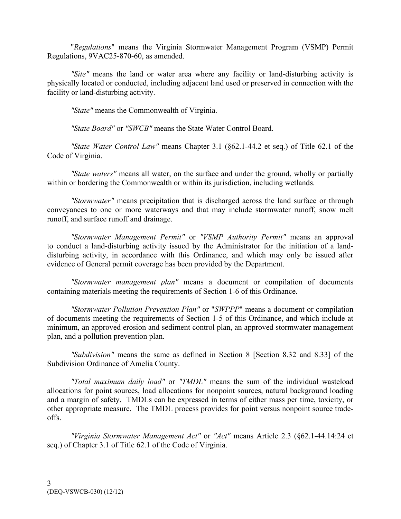"*Regulations*" means the Virginia Stormwater Management Program (VSMP) Permit Regulations, 9VAC25-870-60, as amended.

*"Site"* means the land or water area where any facility or land-disturbing activity is physically located or conducted, including adjacent land used or preserved in connection with the facility or land-disturbing activity.

*"State"* means the Commonwealth of Virginia.

*"State Board"* or *"SWCB"* means the State Water Control Board.

*"State Water Control Law"* means Chapter 3.1 (§62.1-44.2 et seq.) of Title 62.1 of the Code of Virginia.

*"State waters"* means all water, on the surface and under the ground, wholly or partially within or bordering the Commonwealth or within its jurisdiction, including wetlands.

*"Stormwater"* means precipitation that is discharged across the land surface or through conveyances to one or more waterways and that may include stormwater runoff, snow melt runoff, and surface runoff and drainage.

*"Stormwater Management Permit"* or *"VSMP Authority Permit"* means an approval to conduct a land-disturbing activity issued by the Administrator for the initiation of a landdisturbing activity, in accordance with this Ordinance, and which may only be issued after evidence of General permit coverage has been provided by the Department.

*"Stormwater management plan"* means a document or compilation of documents containing materials meeting the requirements of Section 1-6 of this Ordinance.

*"Stormwater Pollution Prevention Plan"* or "*SWPPP*" means a document or compilation of documents meeting the requirements of Section 1-5 of this Ordinance, and which include at minimum, an approved erosion and sediment control plan, an approved stormwater management plan, and a pollution prevention plan.

*"Subdivision"* means the same as defined in Section 8 [Section 8.32 and 8.33] of the Subdivision Ordinance of Amelia County.

*"Total maximum daily load"* or *"TMDL"* means the sum of the individual wasteload allocations for point sources, load allocations for nonpoint sources, natural background loading and a margin of safety. TMDLs can be expressed in terms of either mass per time, toxicity, or other appropriate measure. The TMDL process provides for point versus nonpoint source tradeoffs.

*"Virginia Stormwater Management Act"* or *"Act"* means Article 2.3 (§62.1-44.14:24 et seq.) of Chapter 3.1 of Title 62.1 of the Code of Virginia.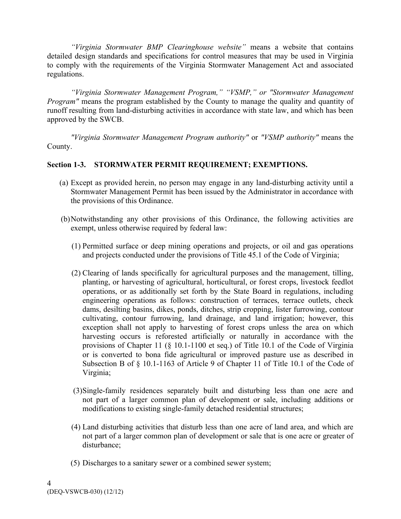*"Virginia Stormwater BMP Clearinghouse website"* means a website that contains detailed design standards and specifications for control measures that may be used in Virginia to comply with the requirements of the Virginia Stormwater Management Act and associated regulations.

*"Virginia Stormwater Management Program," "VSMP," or "Stormwater Management Program*" means the program established by the County to manage the quality and quantity of runoff resulting from land-disturbing activities in accordance with state law, and which has been approved by the SWCB.

*"Virginia Stormwater Management Program authority"* or *"VSMP authority"* means the County.

# **Section 1-3. STORMWATER PERMIT REQUIREMENT; EXEMPTIONS.**

- (a) Except as provided herein, no person may engage in any land-disturbing activity until a Stormwater Management Permit has been issued by the Administrator in accordance with the provisions of this Ordinance.
- (b)Notwithstanding any other provisions of this Ordinance, the following activities are exempt, unless otherwise required by federal law:
	- (1) Permitted surface or deep mining operations and projects, or oil and gas operations and projects conducted under the provisions of Title 45.1 of the Code of Virginia;
	- (2) Clearing of lands specifically for agricultural purposes and the management, tilling, planting, or harvesting of agricultural, horticultural, or forest crops, livestock feedlot operations, or as additionally set forth by the State Board in regulations, including engineering operations as follows: construction of terraces, terrace outlets, check dams, desilting basins, dikes, ponds, ditches, strip cropping, lister furrowing, contour cultivating, contour furrowing, land drainage, and land irrigation; however, this exception shall not apply to harvesting of forest crops unless the area on which harvesting occurs is reforested artificially or naturally in accordance with the provisions of Chapter 11 (§ 10.1-1100 et seq.) of Title 10.1 of the Code of Virginia or is converted to bona fide agricultural or improved pasture use as described in Subsection B of § 10.1-1163 of Article 9 of Chapter 11 of Title 10.1 of the Code of Virginia;
	- (3)Single-family residences separately built and disturbing less than one acre and not part of a larger common plan of development or sale, including additions or modifications to existing single-family detached residential structures;
	- (4) Land disturbing activities that disturb less than one acre of land area, and which are not part of a larger common plan of development or sale that is one acre or greater of disturbance;
	- (5) Discharges to a sanitary sewer or a combined sewer system;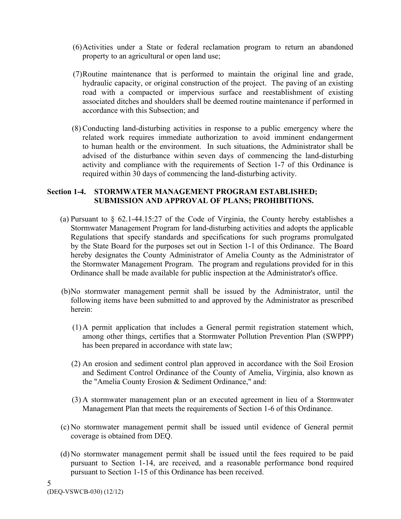- (6)Activities under a State or federal reclamation program to return an abandoned property to an agricultural or open land use;
- (7)Routine maintenance that is performed to maintain the original line and grade, hydraulic capacity, or original construction of the project. The paving of an existing road with a compacted or impervious surface and reestablishment of existing associated ditches and shoulders shall be deemed routine maintenance if performed in accordance with this Subsection; and
- (8) Conducting land-disturbing activities in response to a public emergency where the related work requires immediate authorization to avoid imminent endangerment to human health or the environment. In such situations, the Administrator shall be advised of the disturbance within seven days of commencing the land-disturbing activity and compliance with the requirements of Section 1-7 of this Ordinance is required within 30 days of commencing the land-disturbing activity.

#### **Section 1-4. STORMWATER MANAGEMENT PROGRAM ESTABLISHED; SUBMISSION AND APPROVAL OF PLANS; PROHIBITIONS.**

- (a) Pursuant to  $\S$  62.1-44.15:27 of the Code of Virginia, the County hereby establishes a Stormwater Management Program for land-disturbing activities and adopts the applicable Regulations that specify standards and specifications for such programs promulgated by the State Board for the purposes set out in Section 1-1 of this Ordinance. The Board hereby designates the County Administrator of Amelia County as the Administrator of the Stormwater Management Program. The program and regulations provided for in this Ordinance shall be made available for public inspection at the Administrator's office.
- (b)No stormwater management permit shall be issued by the Administrator, until the following items have been submitted to and approved by the Administrator as prescribed herein:
	- (1)A permit application that includes a General permit registration statement which, among other things, certifies that a Stormwater Pollution Prevention Plan (SWPPP) has been prepared in accordance with state law;
	- (2) An erosion and sediment control plan approved in accordance with the Soil Erosion and Sediment Control Ordinance of the County of Amelia, Virginia, also known as the "Amelia County Erosion & Sediment Ordinance," and:
	- (3) A stormwater management plan or an executed agreement in lieu of a Stormwater Management Plan that meets the requirements of Section 1-6 of this Ordinance.
- (c) No stormwater management permit shall be issued until evidence of General permit coverage is obtained from DEQ.
- (d)No stormwater management permit shall be issued until the fees required to be paid pursuant to Section 1-14, are received, and a reasonable performance bond required pursuant to Section 1-15 of this Ordinance has been received.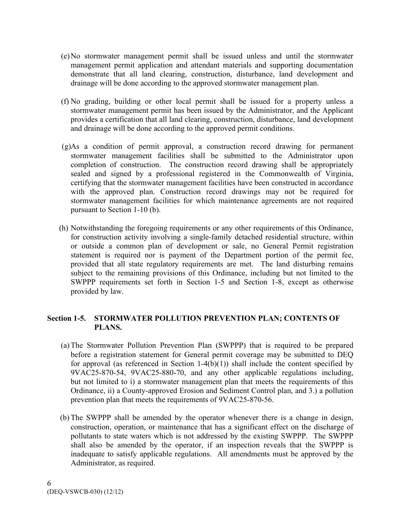- (e)No stormwater management permit shall be issued unless and until the stormwater management permit application and attendant materials and supporting documentation demonstrate that all land clearing, construction, disturbance, land development and drainage will be done according to the approved stormwater management plan.
- (f) No grading, building or other local permit shall be issued for a property unless a stormwater management permit has been issued by the Administrator, and the Applicant provides a certification that all land clearing, construction, disturbance, land development and drainage will be done according to the approved permit conditions.
- (g)As a condition of permit approval, a construction record drawing for permanent stormwater management facilities shall be submitted to the Administrator upon completion of construction. The construction record drawing shall be appropriately sealed and signed by a professional registered in the Commonwealth of Virginia, certifying that the stormwater management facilities have been constructed in accordance with the approved plan. Construction record drawings may not be required for stormwater management facilities for which maintenance agreements are not required pursuant to Section 1-10 (b).
- (h) Notwithstanding the foregoing requirements or any other requirements of this Ordinance, for construction activity involving a single-family detached residential structure, within or outside a common plan of development or sale, no General Permit registration statement is required nor is payment of the Department portion of the permit fee, provided that all state regulatory requirements are met. The land disturbing remains subject to the remaining provisions of this Ordinance, including but not limited to the SWPPP requirements set forth in Section 1-5 and Section 1-8, except as otherwise provided by law.

### **Section 1-5. STORMWATER POLLUTION PREVENTION PLAN; CONTENTS OF PLANS.**

- (a)The Stormwater Pollution Prevention Plan (SWPPP) that is required to be prepared before a registration statement for General permit coverage may be submitted to DEQ for approval (as referenced in Section  $1-4(b)(1)$ ) shall include the content specified by 9VAC25-870-54, 9VAC25-880-70, and any other applicable regulations including, but not limited to i) a stormwater management plan that meets the requirements of this Ordinance, ii) a County-approved Erosion and Sediment Control plan, and 3.) a pollution prevention plan that meets the requirements of 9VAC25-870-56.
- (b) The SWPPP shall be amended by the operator whenever there is a change in design, construction, operation, or maintenance that has a significant effect on the discharge of pollutants to state waters which is not addressed by the existing SWPPP. The SWPPP shall also be amended by the operator, if an inspection reveals that the SWPPP is inadequate to satisfy applicable regulations. All amendments must be approved by the Administrator, as required.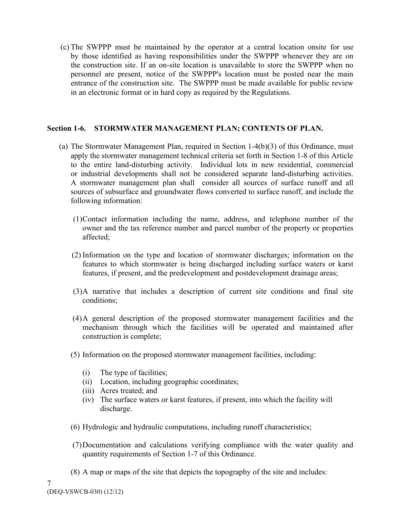(c) The SWPPP must be maintained by the operator at a central location onsite for use by those identified as having responsibilities under the SWPPP whenever they are on the construction site. If an on-site location is unavailable to store the SWPPP when no personnel are present, notice of the SWPPP's location must be posted near the main entrance of the construction site. The SWPPP must be made available for public review in an electronic format or in hard copy as required by the Regulations.

### **Section 1-6. STORMWATER MANAGEMENT PLAN; CONTENTS OF PLAN.**

- (a) The Stormwater Management Plan, required in Section 1-4(b)(3) of this Ordinance, must apply the stormwater management technical criteria set forth in Section 1-8 of this Article to the entire land-disturbing activity. Individual lots in new residential, commercial or industrial developments shall not be considered separate land-disturbing activities. A stormwater management plan shall consider all sources of surface runoff and all sources of subsurface and groundwater flows converted to surface runoff, and include the following information:
	- (1)Contact information including the name, address, and telephone number of the owner and the tax reference number and parcel number of the property or properties affected;
	- (2) Information on the type and location of stormwater discharges; information on the features to which stormwater is being discharged including surface waters or karst features, if present, and the predevelopment and postdevelopment drainage areas;
	- (3)A narrative that includes a description of current site conditions and final site conditions;
	- (4)A general description of the proposed stormwater management facilities and the mechanism through which the facilities will be operated and maintained after construction is complete;
	- (5) Information on the proposed stormwater management facilities, including:
		- (i) The type of facilities;
		- (ii) Location, including geographic coordinates;
		- (iii) Acres treated; and
		- (iv) The surface waters or karst features, if present, into which the facility will discharge.
	- (6) Hydrologic and hydraulic computations, including runoff characteristics;
	- (7)Documentation and calculations verifying compliance with the water quality and quantity requirements of Section 1-7 of this Ordinance.
	- (8) A map or maps of the site that depicts the topography of the site and includes: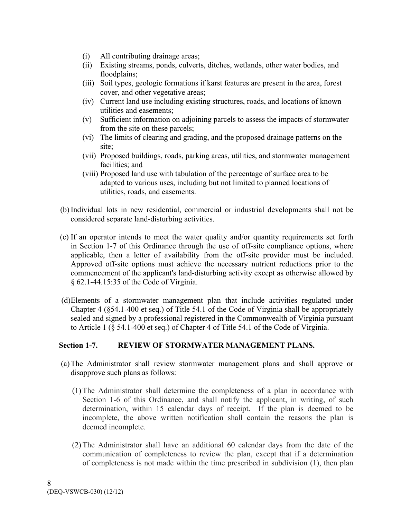- (i) All contributing drainage areas;
- (ii) Existing streams, ponds, culverts, ditches, wetlands, other water bodies, and floodplains;
- (iii) Soil types, geologic formations if karst features are present in the area, forest cover, and other vegetative areas;
- (iv) Current land use including existing structures, roads, and locations of known utilities and easements;
- (v) Sufficient information on adjoining parcels to assess the impacts of stormwater from the site on these parcels;
- (vi) The limits of clearing and grading, and the proposed drainage patterns on the site;
- (vii) Proposed buildings, roads, parking areas, utilities, and stormwater management facilities; and
- (viii) Proposed land use with tabulation of the percentage of surface area to be adapted to various uses, including but not limited to planned locations of utilities, roads, and easements.
- (b)Individual lots in new residential, commercial or industrial developments shall not be considered separate land-disturbing activities.
- (c) If an operator intends to meet the water quality and/or quantity requirements set forth in Section 1-7 of this Ordinance through the use of off-site compliance options, where applicable, then a letter of availability from the off-site provider must be included. Approved off-site options must achieve the necessary nutrient reductions prior to the commencement of the applicant's land-disturbing activity except as otherwise allowed by § 62.1-44.15:35 of the Code of Virginia.
- (d)Elements of a stormwater management plan that include activities regulated under Chapter 4 (§54.1-400 et seq.) of Title 54.1 of the Code of Virginia shall be appropriately sealed and signed by a professional registered in the Commonwealth of Virginia pursuant to Article 1 (§ 54.1-400 et seq.) of Chapter 4 of Title 54.1 of the Code of Virginia.

### **Section 1-7. REVIEW OF STORMWATER MANAGEMENT PLANS.**

- (a)The Administrator shall review stormwater management plans and shall approve or disapprove such plans as follows:
	- (1)The Administrator shall determine the completeness of a plan in accordance with Section 1-6 of this Ordinance, and shall notify the applicant, in writing, of such determination, within 15 calendar days of receipt. If the plan is deemed to be incomplete, the above written notification shall contain the reasons the plan is deemed incomplete.
	- (2) The Administrator shall have an additional 60 calendar days from the date of the communication of completeness to review the plan, except that if a determination of completeness is not made within the time prescribed in subdivision (1), then plan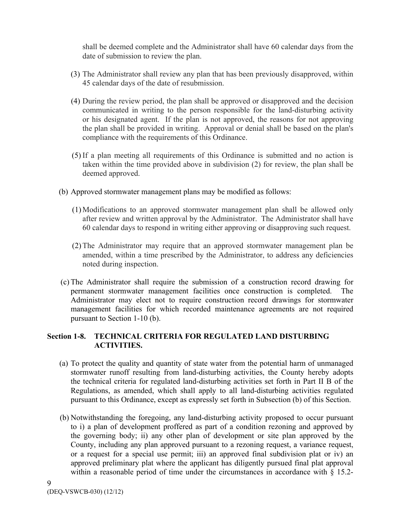shall be deemed complete and the Administrator shall have 60 calendar days from the date of submission to review the plan.

- (3) The Administrator shall review any plan that has been previously disapproved, within 45 calendar days of the date of resubmission.
- (4) During the review period, the plan shall be approved or disapproved and the decision communicated in writing to the person responsible for the land-disturbing activity or his designated agent. If the plan is not approved, the reasons for not approving the plan shall be provided in writing. Approval or denial shall be based on the plan's compliance with the requirements of this Ordinance.
- (5) If a plan meeting all requirements of this Ordinance is submitted and no action is taken within the time provided above in subdivision (2) for review, the plan shall be deemed approved.
- (b) Approved stormwater management plans may be modified as follows:
	- (1) Modifications to an approved stormwater management plan shall be allowed only after review and written approval by the Administrator. The Administrator shall have 60 calendar days to respond in writing either approving or disapproving such request.
	- (2)The Administrator may require that an approved stormwater management plan be amended, within a time prescribed by the Administrator, to address any deficiencies noted during inspection.
- (c) The Administrator shall require the submission of a construction record drawing for permanent stormwater management facilities once construction is completed. The Administrator may elect not to require construction record drawings for stormwater management facilities for which recorded maintenance agreements are not required pursuant to Section 1-10 (b).

# **Section 1-8. TECHNICAL CRITERIA FOR REGULATED LAND DISTURBING ACTIVITIES.**

- (a) To protect the quality and quantity of state water from the potential harm of unmanaged stormwater runoff resulting from land-disturbing activities, the County hereby adopts the technical criteria for regulated land-disturbing activities set forth in Part II B of the Regulations, as amended, which shall apply to all land-disturbing activities regulated pursuant to this Ordinance, except as expressly set forth in Subsection (b) of this Section.
- (b) Notwithstanding the foregoing, any land-disturbing activity proposed to occur pursuant to i) a plan of development proffered as part of a condition rezoning and approved by the governing body; ii) any other plan of development or site plan approved by the County, including any plan approved pursuant to a rezoning request, a variance request, or a request for a special use permit; iii) an approved final subdivision plat or iv) an approved preliminary plat where the applicant has diligently pursued final plat approval within a reasonable period of time under the circumstances in accordance with § 15.2-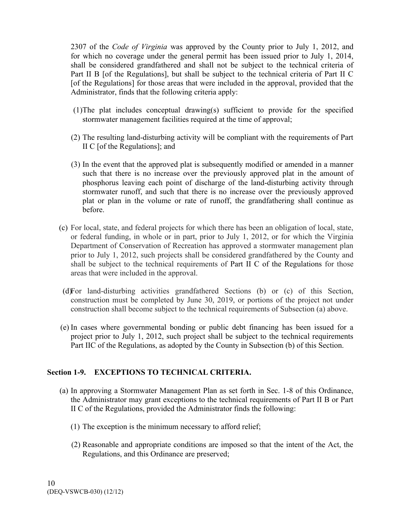2307 of the *Code of Virginia* was approved by the County prior to July 1, 2012, and for which no coverage under the general permit has been issued prior to July 1, 2014, shall be considered grandfathered and shall not be subject to the technical criteria of Part II B [of the Regulations], but shall be subject to the technical criteria of Part II C [of the Regulations] for those areas that were included in the approval, provided that the Administrator, finds that the following criteria apply:

- (1)The plat includes conceptual drawing(s) sufficient to provide for the specified stormwater management facilities required at the time of approval;
- (2) The resulting land-disturbing activity will be compliant with the requirements of Part II C [of the Regulations]; and
- (3) In the event that the approved plat is subsequently modified or amended in a manner such that there is no increase over the previously approved plat in the amount of phosphorus leaving each point of discharge of the land-disturbing activity through stormwater runoff, and such that there is no increase over the previously approved plat or plan in the volume or rate of runoff, the grandfathering shall continue as before.
- (c) For local, state, and federal projects for which there has been an obligation of local, state, or federal funding, in whole or in part, prior to July 1, 2012, or for which the Virginia Department of Conservation of Recreation has approved a stormwater management plan prior to July 1, 2012, such projects shall be considered grandfathered by the County and shall be subject to the technical requirements of Part II C of the Regulations for those areas that were included in the approval.
- (d)For land-disturbing activities grandfathered Sections (b) or (c) of this Section, construction must be completed by June 30, 2019, or portions of the project not under construction shall become subject to the technical requirements of Subsection (a) above.
- (e) In cases where governmental bonding or public debt financing has been issued for a project prior to July 1, 2012, such project shall be subject to the technical requirements Part IIC of the Regulations, as adopted by the County in Subsection (b) of this Section.

### **Section 1-9. EXCEPTIONS TO TECHNICAL CRITERIA.**

- (a) In approving a Stormwater Management Plan as set forth in Sec. 1-8 of this Ordinance, the Administrator may grant exceptions to the technical requirements of Part II B or Part II C of the Regulations, provided the Administrator finds the following:
	- (1) The exception is the minimum necessary to afford relief;
	- (2) Reasonable and appropriate conditions are imposed so that the intent of the Act, the Regulations, and this Ordinance are preserved;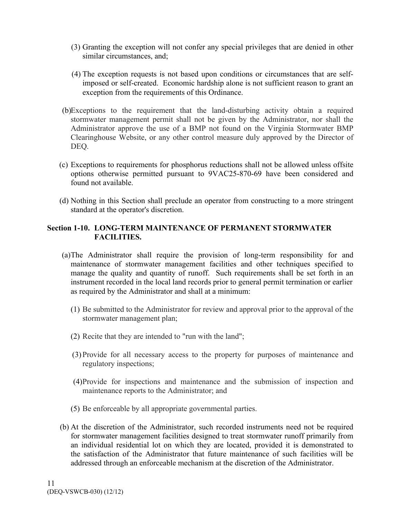- (3) Granting the exception will not confer any special privileges that are denied in other similar circumstances, and;
- (4) The exception requests is not based upon conditions or circumstances that are selfimposed or self-created. Economic hardship alone is not sufficient reason to grant an exception from the requirements of this Ordinance.
- (b)Exceptions to the requirement that the land-disturbing activity obtain a required stormwater management permit shall not be given by the Administrator, nor shall the Administrator approve the use of a BMP not found on the Virginia Stormwater BMP Clearinghouse Website, or any other control measure duly approved by the Director of DEQ.
- (c) Exceptions to requirements for phosphorus reductions shall not be allowed unless offsite options otherwise permitted pursuant to 9VAC25-870-69 have been considered and found not available.
- (d) Nothing in this Section shall preclude an operator from constructing to a more stringent standard at the operator's discretion.

### **Section 1-10. LONG-TERM MAINTENANCE OF PERMANENT STORMWATER FACILITIES.**

- (a)The Administrator shall require the provision of long-term responsibility for and maintenance of stormwater management facilities and other techniques specified to manage the quality and quantity of runoff. Such requirements shall be set forth in an instrument recorded in the local land records prior to general permit termination or earlier as required by the Administrator and shall at a minimum:
	- (1) Be submitted to the Administrator for review and approval prior to the approval of the stormwater management plan;
	- (2) Recite that they are intended to "run with the land";
	- (3)Provide for all necessary access to the property for purposes of maintenance and regulatory inspections;
	- (4)Provide for inspections and maintenance and the submission of inspection and maintenance reports to the Administrator; and
	- (5) Be enforceable by all appropriate governmental parties.
- (b) At the discretion of the Administrator, such recorded instruments need not be required for stormwater management facilities designed to treat stormwater runoff primarily from an individual residential lot on which they are located, provided it is demonstrated to the satisfaction of the Administrator that future maintenance of such facilities will be addressed through an enforceable mechanism at the discretion of the Administrator.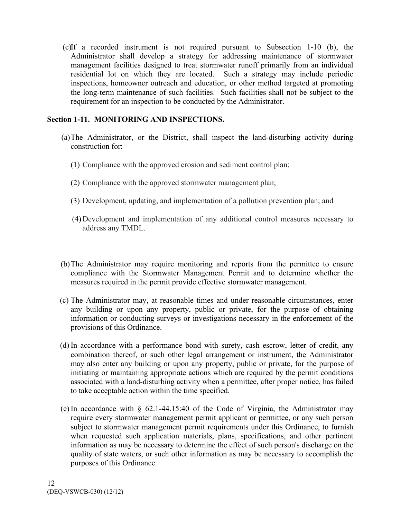(c)If a recorded instrument is not required pursuant to Subsection 1-10 (b), the Administrator shall develop a strategy for addressing maintenance of stormwater management facilities designed to treat stormwater runoff primarily from an individual residential lot on which they are located. Such a strategy may include periodic inspections, homeowner outreach and education, or other method targeted at promoting the long-term maintenance of such facilities. Such facilities shall not be subject to the requirement for an inspection to be conducted by the Administrator.

## **Section 1-11. MONITORING AND INSPECTIONS.**

- (a)The Administrator, or the District, shall inspect the land-disturbing activity during construction for:
	- (1) Compliance with the approved erosion and sediment control plan;
	- (2) Compliance with the approved stormwater management plan;
	- (3) Development, updating, and implementation of a pollution prevention plan; and
	- (4) Development and implementation of any additional control measures necessary to address any TMDL.
- (b)The Administrator may require monitoring and reports from the permittee to ensure compliance with the Stormwater Management Permit and to determine whether the measures required in the permit provide effective stormwater management.
- (c) The Administrator may, at reasonable times and under reasonable circumstances, enter any building or upon any property, public or private, for the purpose of obtaining information or conducting surveys or investigations necessary in the enforcement of the provisions of this Ordinance.
- (d) In accordance with a performance bond with surety, cash escrow, letter of credit, any combination thereof, or such other legal arrangement or instrument, the Administrator may also enter any building or upon any property, public or private, for the purpose of initiating or maintaining appropriate actions which are required by the permit conditions associated with a land-disturbing activity when a permittee, after proper notice, has failed to take acceptable action within the time specified.
- (e) In accordance with § 62.1-44.15:40 of the Code of Virginia, the Administrator may require every stormwater management permit applicant or permittee, or any such person subject to stormwater management permit requirements under this Ordinance, to furnish when requested such application materials, plans, specifications, and other pertinent information as may be necessary to determine the effect of such person's discharge on the quality of state waters, or such other information as may be necessary to accomplish the purposes of this Ordinance.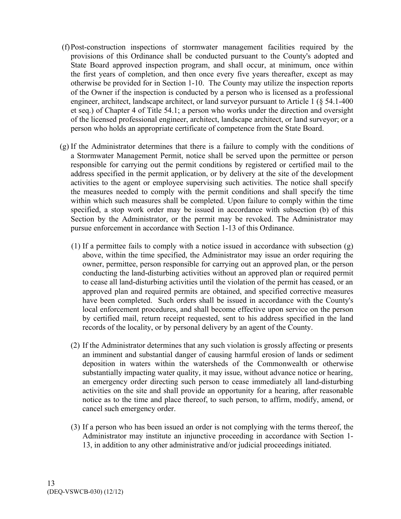- (f)Post-construction inspections of stormwater management facilities required by the provisions of this Ordinance shall be conducted pursuant to the County's adopted and State Board approved inspection program, and shall occur, at minimum, once within the first years of completion, and then once every five years thereafter, except as may otherwise be provided for in Section 1-10. The County may utilize the inspection reports of the Owner if the inspection is conducted by a person who is licensed as a professional engineer, architect, landscape architect, or land surveyor pursuant to Article 1 (§ 54.1-400 et seq.) of Chapter 4 of Title 54.1; a person who works under the direction and oversight of the licensed professional engineer, architect, landscape architect, or land surveyor; or a person who holds an appropriate certificate of competence from the State Board.
- (g) If the Administrator determines that there is a failure to comply with the conditions of a Stormwater Management Permit, notice shall be served upon the permittee or person responsible for carrying out the permit conditions by registered or certified mail to the address specified in the permit application, or by delivery at the site of the development activities to the agent or employee supervising such activities. The notice shall specify the measures needed to comply with the permit conditions and shall specify the time within which such measures shall be completed. Upon failure to comply within the time specified, a stop work order may be issued in accordance with subsection (b) of this Section by the Administrator, or the permit may be revoked. The Administrator may pursue enforcement in accordance with Section 1-13 of this Ordinance.
	- (1) If a permittee fails to comply with a notice issued in accordance with subsection (g) above, within the time specified, the Administrator may issue an order requiring the owner, permittee, person responsible for carrying out an approved plan, or the person conducting the land-disturbing activities without an approved plan or required permit to cease all land-disturbing activities until the violation of the permit has ceased, or an approved plan and required permits are obtained, and specified corrective measures have been completed. Such orders shall be issued in accordance with the County's local enforcement procedures, and shall become effective upon service on the person by certified mail, return receipt requested, sent to his address specified in the land records of the locality, or by personal delivery by an agent of the County.
	- (2) If the Administrator determines that any such violation is grossly affecting or presents an imminent and substantial danger of causing harmful erosion of lands or sediment deposition in waters within the watersheds of the Commonwealth or otherwise substantially impacting water quality, it may issue, without advance notice or hearing, an emergency order directing such person to cease immediately all land-disturbing activities on the site and shall provide an opportunity for a hearing, after reasonable notice as to the time and place thereof, to such person, to affirm, modify, amend, or cancel such emergency order.
	- (3) If a person who has been issued an order is not complying with the terms thereof, the Administrator may institute an injunctive proceeding in accordance with Section 1- 13, in addition to any other administrative and/or judicial proceedings initiated.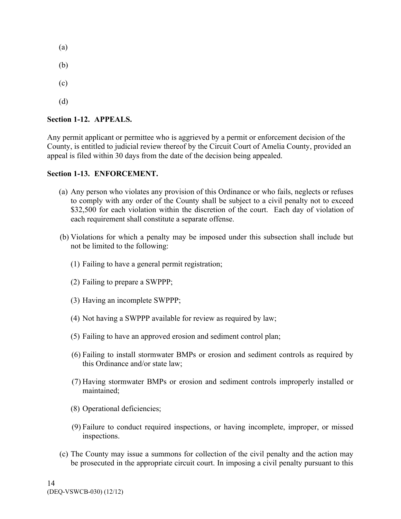- (a) (b)
- (c)
- (d)

# **Section 1-12. APPEALS.**

Any permit applicant or permittee who is aggrieved by a permit or enforcement decision of the County, is entitled to judicial review thereof by the Circuit Court of Amelia County, provided an appeal is filed within 30 days from the date of the decision being appealed.

#### **Section 1-13. ENFORCEMENT.**

- (a) Any person who violates any provision of this Ordinance or who fails, neglects or refuses to comply with any order of the County shall be subject to a civil penalty not to exceed \$32,500 for each violation within the discretion of the court. Each day of violation of each requirement shall constitute a separate offense.
- (b) Violations for which a penalty may be imposed under this subsection shall include but not be limited to the following:
	- (1) Failing to have a general permit registration;
	- (2) Failing to prepare a SWPPP;
	- (3) Having an incomplete SWPPP;
	- (4) Not having a SWPPP available for review as required by law;
	- (5) Failing to have an approved erosion and sediment control plan;
	- (6) Failing to install stormwater BMPs or erosion and sediment controls as required by this Ordinance and/or state law;
	- (7) Having stormwater BMPs or erosion and sediment controls improperly installed or maintained;
	- (8) Operational deficiencies;
	- (9) Failure to conduct required inspections, or having incomplete, improper, or missed inspections.
- (c) The County may issue a summons for collection of the civil penalty and the action may be prosecuted in the appropriate circuit court. In imposing a civil penalty pursuant to this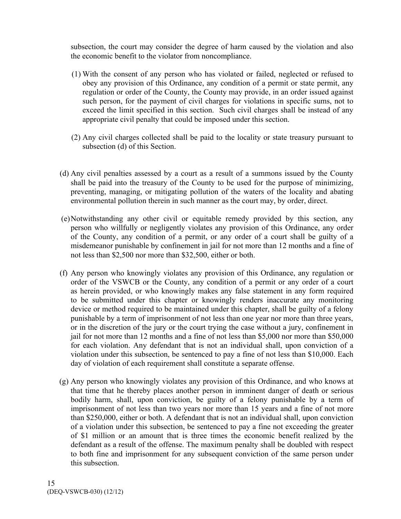subsection, the court may consider the degree of harm caused by the violation and also the economic benefit to the violator from noncompliance.

- (1) With the consent of any person who has violated or failed, neglected or refused to obey any provision of this Ordinance, any condition of a permit or state permit, any regulation or order of the County, the County may provide, in an order issued against such person, for the payment of civil charges for violations in specific sums, not to exceed the limit specified in this section. Such civil charges shall be instead of any appropriate civil penalty that could be imposed under this section.
- (2) Any civil charges collected shall be paid to the locality or state treasury pursuant to subsection (d) of this Section.
- (d) Any civil penalties assessed by a court as a result of a summons issued by the County shall be paid into the treasury of the County to be used for the purpose of minimizing, preventing, managing, or mitigating pollution of the waters of the locality and abating environmental pollution therein in such manner as the court may, by order, direct.
- (e)Notwithstanding any other civil or equitable remedy provided by this section, any person who willfully or negligently violates any provision of this Ordinance, any order of the County, any condition of a permit, or any order of a court shall be guilty of a misdemeanor punishable by confinement in jail for not more than 12 months and a fine of not less than \$2,500 nor more than \$32,500, either or both.
- (f) Any person who knowingly violates any provision of this Ordinance, any regulation or order of the VSWCB or the County, any condition of a permit or any order of a court as herein provided, or who knowingly makes any false statement in any form required to be submitted under this chapter or knowingly renders inaccurate any monitoring device or method required to be maintained under this chapter, shall be guilty of a felony punishable by a term of imprisonment of not less than one year nor more than three years, or in the discretion of the jury or the court trying the case without a jury, confinement in jail for not more than 12 months and a fine of not less than \$5,000 nor more than \$50,000 for each violation. Any defendant that is not an individual shall, upon conviction of a violation under this subsection, be sentenced to pay a fine of not less than \$10,000. Each day of violation of each requirement shall constitute a separate offense.
- (g) Any person who knowingly violates any provision of this Ordinance, and who knows at that time that he thereby places another person in imminent danger of death or serious bodily harm, shall, upon conviction, be guilty of a felony punishable by a term of imprisonment of not less than two years nor more than 15 years and a fine of not more than \$250,000, either or both. A defendant that is not an individual shall, upon conviction of a violation under this subsection, be sentenced to pay a fine not exceeding the greater of \$1 million or an amount that is three times the economic benefit realized by the defendant as a result of the offense. The maximum penalty shall be doubled with respect to both fine and imprisonment for any subsequent conviction of the same person under this subsection.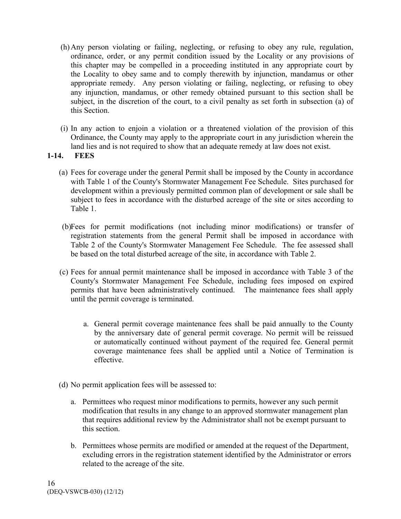- (h)Any person violating or failing, neglecting, or refusing to obey any rule, regulation, ordinance, order, or any permit condition issued by the Locality or any provisions of this chapter may be compelled in a proceeding instituted in any appropriate court by the Locality to obey same and to comply therewith by injunction, mandamus or other appropriate remedy. Any person violating or failing, neglecting, or refusing to obey any injunction, mandamus, or other remedy obtained pursuant to this section shall be subject, in the discretion of the court, to a civil penalty as set forth in subsection (a) of this Section.
- (i) In any action to enjoin a violation or a threatened violation of the provision of this Ordinance, the County may apply to the appropriate court in any jurisdiction wherein the land lies and is not required to show that an adequate remedy at law does not exist.

### **1-14. FEES**

- (a) Fees for coverage under the general Permit shall be imposed by the County in accordance with Table 1 of the County's Stormwater Management Fee Schedule. Sites purchased for development within a previously permitted common plan of development or sale shall be subject to fees in accordance with the disturbed acreage of the site or sites according to Table 1.
- (b)Fees for permit modifications (not including minor modifications) or transfer of registration statements from the general Permit shall be imposed in accordance with Table 2 of the County's Stormwater Management Fee Schedule. The fee assessed shall be based on the total disturbed acreage of the site, in accordance with Table 2.
- (c) Fees for annual permit maintenance shall be imposed in accordance with Table 3 of the County's Stormwater Management Fee Schedule, including fees imposed on expired permits that have been administratively continued. The maintenance fees shall apply until the permit coverage is terminated.
	- a. General permit coverage maintenance fees shall be paid annually to the County by the anniversary date of general permit coverage. No permit will be reissued or automatically continued without payment of the required fee. General permit coverage maintenance fees shall be applied until a Notice of Termination is effective.
- (d) No permit application fees will be assessed to:
	- a. Permittees who request minor modifications to permits, however any such permit modification that results in any change to an approved stormwater management plan that requires additional review by the Administrator shall not be exempt pursuant to this section.
	- b. Permittees whose permits are modified or amended at the request of the Department, excluding errors in the registration statement identified by the Administrator or errors related to the acreage of the site.